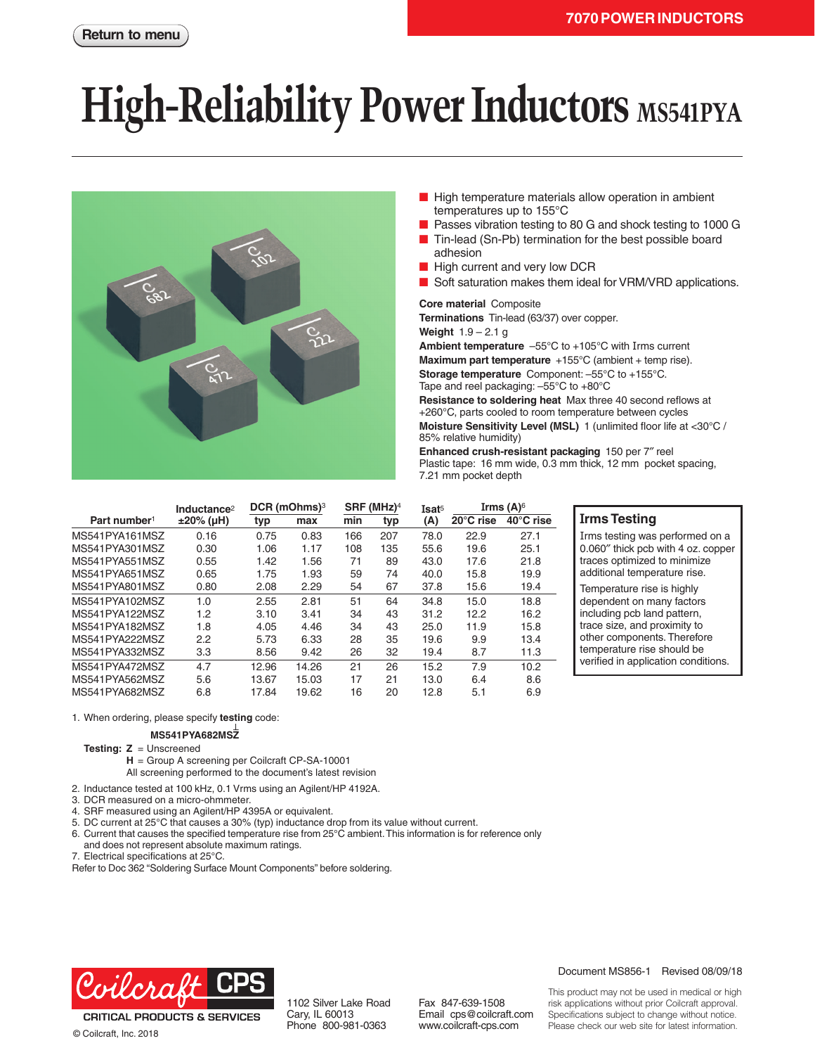# **High-Reliability Power Inductors** MS541PYA



- High temperature materials allow operation in ambient temperatures up to 155°C
- Passes vibration testing to 80 G and shock testing to 1000 G
- Tin-lead (Sn-Pb) termination for the best possible board adhesion
- High current and very low DCR
- Soft saturation makes them ideal for VRM/VRD applications.

#### **Core material** Composite

**Terminations** Tin-lead (63/37) over copper.

**Weight** 1.9 – 2.1 g

**Ambient temperature** –55°C to +105°C with Irms current

**Maximum part temperature** +155°C (ambient + temp rise).

**Storage temperature** Component: –55°C to +155°C. Tape and reel packaging: –55°C to +80°C

**Resistance to soldering heat** Max three 40 second reflows at +260°C, parts cooled to room temperature between cycles **Moisture Sensitivity Level (MSL)** 1 (unlimited floor life at <30°C / 85% relative humidity)

**Enhanced crush-resistant packaging** 150 per 7″ reel Plastic tape: 16 mm wide, 0.3 mm thick, 12 mm pocket spacing, 7.21 mm pocket depth

|                          | Inductance $2$ | DCR (mOhms) <sup>3</sup> |       | SRF (MHz) <sup>4</sup> |     | Isat <sup>5</sup> | Irms $(A)$ <sup>6</sup> |           |
|--------------------------|----------------|--------------------------|-------|------------------------|-----|-------------------|-------------------------|-----------|
| Part number <sup>1</sup> | $±20\%$ (µH)   | typ                      | max   | min                    | typ | (A)               | 20°C rise               | 40°C rise |
| MS541PYA161MSZ           | 0.16           | 0.75                     | 0.83  | 166                    | 207 | 78.0              | 22.9                    | 27.1      |
| MS541PYA301MSZ           | 0.30           | 1.06                     | 1.17  | 108                    | 135 | 55.6              | 19.6                    | 25.1      |
| MS541PYA551MSZ           | 0.55           | 1.42                     | 1.56  | 71                     | 89  | 43.0              | 17.6                    | 21.8      |
| MS541PYA651MSZ           | 0.65           | 1.75                     | 1.93  | 59                     | 74  | 40.0              | 15.8                    | 19.9      |
| MS541PYA801MSZ           | 0.80           | 2.08                     | 2.29  | 54                     | 67  | 37.8              | 15.6                    | 19.4      |
| MS541PYA102MSZ           | 1.0            | 2.55                     | 2.81  | 51                     | 64  | 34.8              | 15.0                    | 18.8      |
| MS541PYA122MSZ           | 1.2            | 3.10                     | 3.41  | 34                     | 43  | 31.2              | 12.2                    | 16.2      |
| MS541PYA182MSZ           | 1.8            | 4.05                     | 4.46  | 34                     | 43  | 25.0              | 11.9                    | 15.8      |
| MS541PYA222MSZ           | 2.2            | 5.73                     | 6.33  | 28                     | 35  | 19.6              | 9.9                     | 13.4      |
| MS541PYA332MSZ           | 3.3            | 8.56                     | 9.42  | 26                     | 32  | 19.4              | 8.7                     | 11.3      |
| MS541PYA472MSZ           | 4.7            | 12.96                    | 14.26 | 21                     | 26  | 15.2              | 7.9                     | 10.2      |
| MS541PYA562MSZ           | 5.6            | 13.67                    | 15.03 | 17                     | 21  | 13.0              | 6.4                     | 8.6       |
| MS541PYA682MSZ           | 6.8            | 17.84                    | 19.62 | 16                     | 20  | 12.8              | 5.1                     | 6.9       |

#### **Irms Testing**

Irms testing was performed on a 0.060″ thick pcb with 4 oz. copper traces optimized to minimize additional temperature rise.

Temperature rise is highly dependent on many factors including pcb land pattern, trace size, and proximity to other components. Therefore temperature rise should be verified in application conditions.

1. When ordering, please specify **testing** code:

#### **MS541PYA682MSZ**

**Testing: Z** = Unscreened

**H** = Group A screening per Coilcraft CP-SA-10001

All screening performed to the document's latest revision

- 2. Inductance tested at 100 kHz, 0.1 Vrms using an Agilent/HP 4192A.
- 3. DCR measured on a micro-ohmmeter.
- 4. SRF measured using an Agilent/HP 4395A or equivalent.

5. DC current at 25°C that causes a 30% (typ) inductance drop from its value without current.

6. Current that causes the specified temperature rise from 25°C ambient. This information is for reference only

- and does not represent absolute maximum ratings.
- 7. Electrical specifications at 25°C.

Refer to Doc 362 "Soldering Surface Mount Components" before soldering.



**CRITICAL PRODUCTS & SERVICES** © Coilcraft, Inc. 2018

#### Document MS856-1 Revised 08/09/18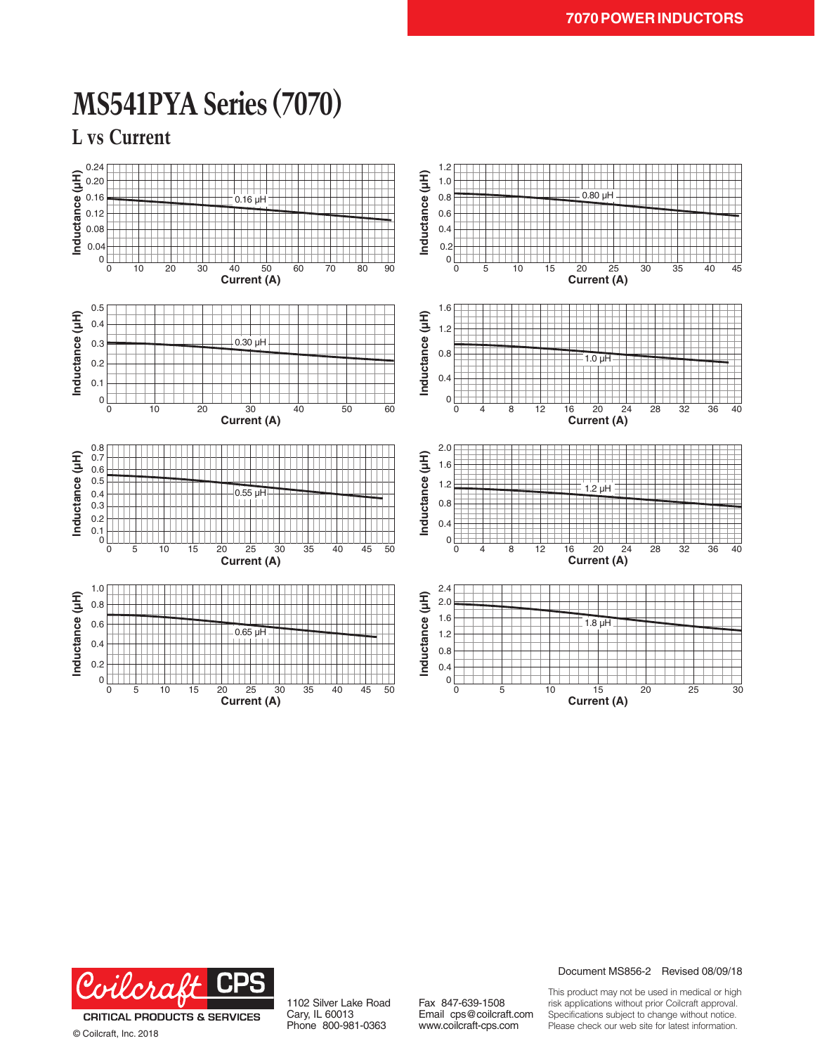### **MS541PYA Series (7070)**

**L vs Current**





© Coilcraft, Inc. 2018

1102 Silver Lake Road Cary, IL 60013 Phone 800-981-0363

Fax 847-639-1508 Email cps@coilcraft.com www.coilcraft-cps.com

Document MS856-2 Revised 08/09/18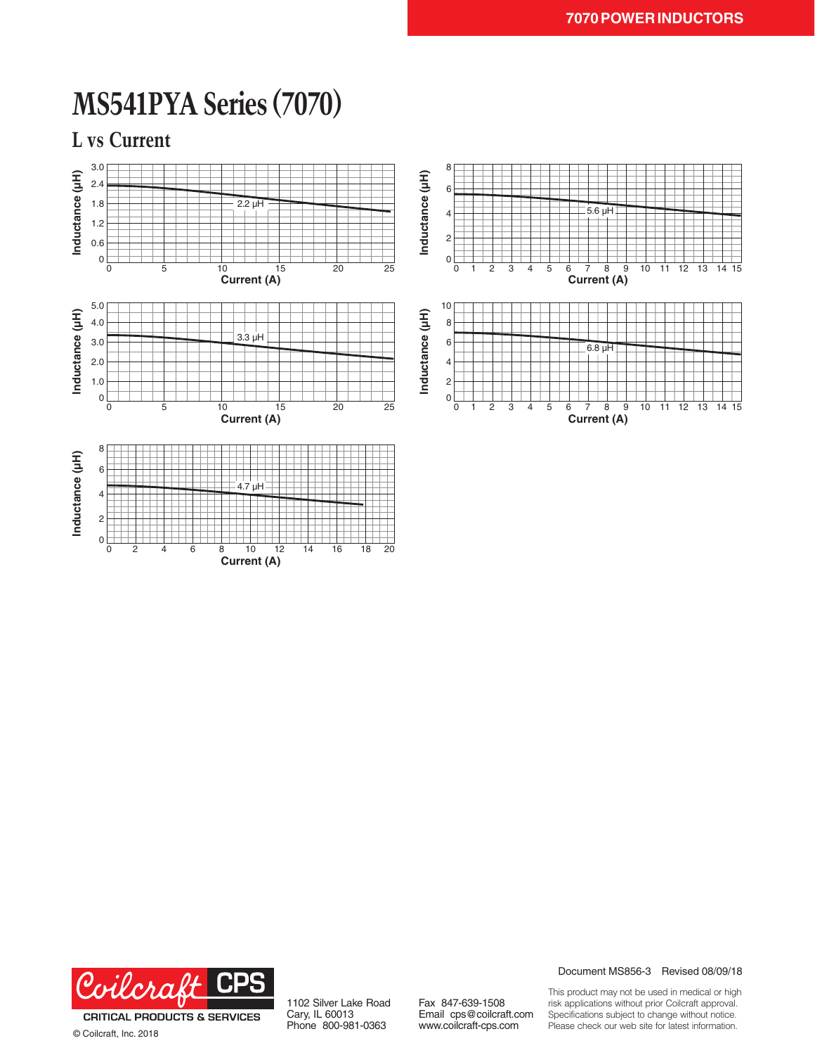## **MS541PYA Series (7070)**

**L vs Current**





© Coilcraft, Inc. 2018

1102 Silver Lake Road Cary, IL 60013 Phone 800-981-0363

Fax 847-639-1508 Email cps@coilcraft.com www.coilcraft-cps.com

Document MS856-3 Revised 08/09/18